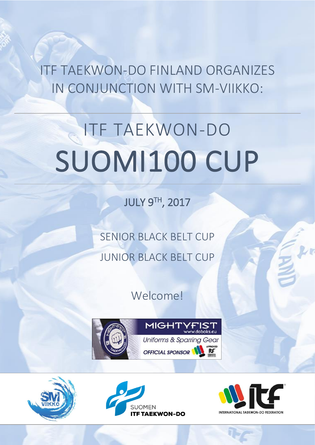ITF TAEKWON-DO FINLAND ORGANIZES IN CONJUNCTION WITH SM-VIIKKO:

# ITF TAEKWON-DO SUOMI100 CUP

JULY 9TH, 2017

SENIOR BLACK BELT CUP JUNIOR BLACK BELT CUP

Welcome!







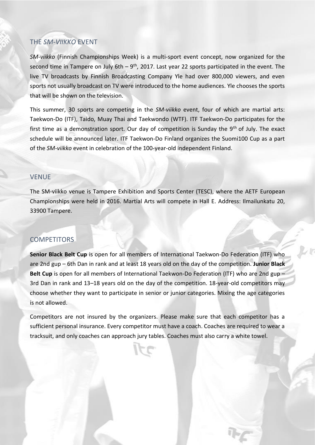# THE *SM-VIIKKO* EVENT

*SM-viikko* (Finnish Championships Week) is a multi-sport event concept, now organized for the second time in Tampere on July 6th  $-9<sup>th</sup>$ , 2017. Last year 22 sports participated in the event. The live TV broadcasts by Finnish Broadcasting Company Yle had over 800,000 viewers, and even sports not usually broadcast on TV were introduced to the home audiences. Yle chooses the sports that will be shown on the television.

This summer, 30 sports are competing in the *SM-viikko* event, four of which are martial arts: Taekwon-Do (ITF), Taido, Muay Thai and Taekwondo (WTF). ITF Taekwon-Do participates for the first time as a demonstration sport. Our day of competition is Sunday the  $9<sup>th</sup>$  of July. The exact schedule will be announced later. ITF Taekwon-Do Finland organizes the Suomi100 Cup as a part of the *SM-viikko* event in celebration of the 100-year-old independent Finland.

#### VENUE

The SM-viikko venue is Tampere Exhibition and Sports Center (TESC), where the AETF European Championships were held in 2016. Martial Arts will compete in Hall E. Address: Ilmailunkatu 20, 33900 Tampere.

#### COMPETITORS

**Senior Black Belt Cup** is open for all members of International Taekwon-Do Federation (ITF) who are 2nd gup – 6th Dan in rank and at least 18 years old on the day of the competition. **Junior Black Belt Cup** is open for all members of International Taekwon-Do Federation (ITF) who are 2nd gup – 3rd Dan in rank and 13–18 years old on the day of the competition. 18-year-old competitors may choose whether they want to participate in senior or junior categories. Mixing the age categories is not allowed.

Competitors are not insured by the organizers. Please make sure that each competitor has a sufficient personal insurance. Every competitor must have a coach. Coaches are required to wear a tracksuit, and only coaches can approach jury tables. Coaches must also carry a white towel.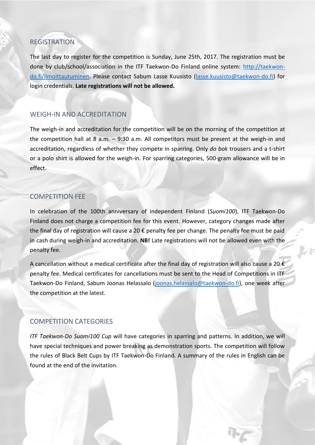#### REGISTRATION

The last day to register for the competition is Sunday, June 25th, 2017. The registration must be done by club/school/association in the ITF Taekwon-Do Finland online system: [http://taekwon](http://taekwon-do.fi/ilmoittautuminen)[do.fi/ilmoittautuminen.](http://taekwon-do.fi/ilmoittautuminen) Please contact Sabum Lasse Kuusisto [\(lasse.kuusisto@taekwon-do.fi\)](mailto:lasse.kuusisto@taekwon-do.fi) for login credentials. **Late registrations will not be allowed.**

#### WEIGH-IN AND ACCREDITATION

The weigh-in and accreditation for the competition will be on the morning of the competition at the competition hall at 8 a.m. – 9:30 a.m. All competitors must be present at the weigh-in and accreditation, regardless of whether they compete in sparring. Only *do bok* trousers and a t-shirt or a polo shirt is allowed for the weigh-in. For sparring categories, 500-gram allowance will be in effect.

#### COMPETITION FEE

In celebration of the 100th anniversary of independent Finland (*Suomi100*), ITF Taekwon-Do Finland does not charge a competition fee for this event. However, category changes made after the final day of registration will cause a 20 € penalty fee per change. The penalty fee must be paid in cash during weigh-in and accreditation. **NB!** Late registrations will not be allowed even with the penalty fee.

A cancellation without a medical certificate after the final day of registration will also cause a 20  $\epsilon$ penalty fee. Medical certificates for cancellations must be sent to the Head of Competitions in ITF Taekwon-Do Finland, Sabum Joonas Helassalo [\(joonas.helassalo@taekwon-do.fi\)](mailto:joonas.helassalo@taekwon-do.fi), one week after the competition at the latest.

## COMPETITION CATEGORIES

*ITF Taekwon-Do Suomi100 Cup* will have categories in sparring and patterns. In addition, we will have special techniques and power breaking as demonstration sports. The competition will follow the rules of Black Belt Cups by ITF Taekwon-Do Finland. A summary of the rules in English can be found at the end of the invitation.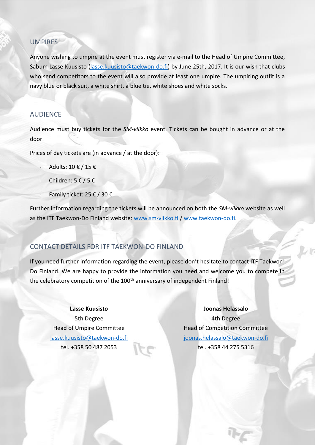## **UMPIRES**

Anyone wishing to umpire at the event must register via e-mail to the Head of Umpire Committee, Sabum Lasse Kuusisto [\(lasse.kuusisto@taekwon-do.fi\)](mailto:lasse.kuusisto@taekwon-do.fi) by June 25th, 2017. It is our wish that clubs who send competitors to the event will also provide at least one umpire. The umpiring outfit is a navy blue or black suit, a white shirt, a blue tie, white shoes and white socks.

## AUDIENCE

Audience must buy tickets for the *SM-viikko* event. Tickets can be bought in advance or at the door.

Prices of day tickets are (in advance / at the door):

- Adults: 10 € / 15 €
- Children: 5 € / 5 €
- Family ticket: 25  $\epsilon$  / 30  $\epsilon$

Further information regarding the tickets will be announced on both the *SM-viikko* website as well as the ITF Taekwon-Do Finland website: [www.sm-viikko.fi](http://www.sm-viikko.fi/) / [www.taekwon-do.fi.](http://www.taekwon-do.fi/)

## CONTACT DETAILS FOR ITF TAEKWON-DO FINLAND

If you need further information regarding the event, please don't hesitate to contact ITF Taekwon-Do Finland. We are happy to provide the information you need and welcome you to compete in the celebratory competition of the 100<sup>th</sup> anniversary of independent Finland!

#### **Lasse Kuusisto**

5th Degree Head of Umpire Committee [lasse.kuusisto@taekwon-do.fi](mailto:lasse.kuusisto@taekwon-do.fi) tel. +358 50 487 2053

#### **Joonas Helassalo**

4th Degree Head of Competition Committee [joonas.helassalo@taekwon-do.fi](mailto:joonas.helassalo@taekwon-do.fi) tel. +358 44 275 5316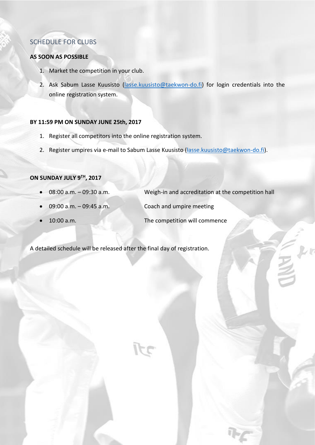# SCHEDULE FOR CLUBS

#### **AS SOON AS POSSIBLE**

- 1. Market the competition in your club.
- 2. Ask Sabum Lasse Kuusisto [\(lasse.kuusisto@taekwon-do.fi\)](mailto:lasse.kuusisto@taekwon-do.fi) for login credentials into the online registration system.

#### **BY 11:59 PM ON SUNDAY JUNE 25th, 2017**

- 1. Register all competitors into the online registration system.
- 2. Register umpires via e-mail to Sabum Lasse Kuusisto [\(lasse.kuusisto@taekwon-do.fi\)](mailto:lasse.kuusisto@taekwon-do.fi).

#### **ON SUNDAY JULY 9TH , 2017**

- 08:00 a.m. 09:30 a.m. Weigh-in and accreditation at the competition hall
- 09:00 a.m. 09:45 a.m. Coach and umpire meeting
- 

• 10:00 a.m. The competition will commence

A detailed schedule will be released after the final day of registration.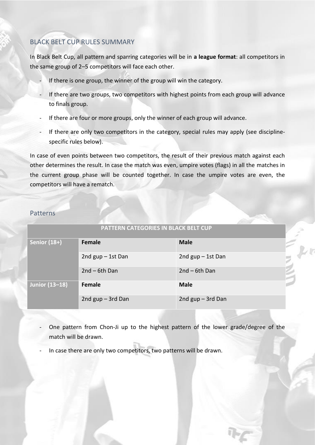# BLACK BELT CUP RULES SUMMARY

In Black Belt Cup, all pattern and sparring categories will be in **a league format**: all competitors in the same group of 2–5 competitors will face each other.

- If there is one group, the winner of the group will win the category.
- If there are two groups, two competitors with highest points from each group will advance to finals group.
- If there are four or more groups, only the winner of each group will advance.
- If there are only two competitors in the category, special rules may apply (see disciplinespecific rules below).

In case of even points between two competitors, the result of their previous match against each other determines the result. In case the match was even, umpire votes (flags) in all the matches in the current group phase will be counted together. In case the umpire votes are even, the competitors will have a rematch.

#### Patterns

| PATTERN CATEGORIES IN BLACK BELT CUP |                     |                     |  |  |  |
|--------------------------------------|---------------------|---------------------|--|--|--|
| Senior (18+)                         | Female              | <b>Male</b>         |  |  |  |
|                                      | 2nd $gap - 1st$ Dan | 2nd $gup - 1st$ Dan |  |  |  |
|                                      | $2nd - 6th Dan$     | $2nd - 6th Dan$     |  |  |  |
| Junior (13-18)                       | Female              | <b>Male</b>         |  |  |  |
|                                      | 2nd gup - 3rd Dan   | 2nd $gup - 3rd$ Dan |  |  |  |

- One pattern from Chon-Ji up to the highest pattern of the lower grade/degree of the match will be drawn.
- In case there are only two competitors, two patterns will be drawn.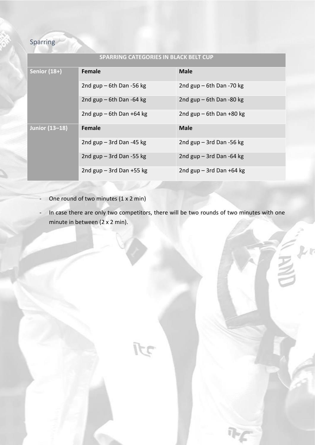# Sparring

| <b>SPARRING CATEGORIES IN BLACK BELT CUP</b> |                              |                            |  |  |  |
|----------------------------------------------|------------------------------|----------------------------|--|--|--|
| Senior (18+)                                 | <b>Female</b>                | <b>Male</b>                |  |  |  |
|                                              | 2nd $gap - 6th$ Dan -56 kg   | 2nd $gap - 6th$ Dan -70 kg |  |  |  |
|                                              | 2nd $gup$ – 6th Dan -64 kg   | 2nd $gup$ – 6th Dan -80 kg |  |  |  |
|                                              | 2nd gup $-$ 6th Dan +64 kg   | 2nd $gap - 6th$ Dan +80 kg |  |  |  |
| <b>Junior (13-18)</b>                        | Female                       | <b>Male</b>                |  |  |  |
|                                              | 2nd $gap - 3rd$ Dan -45 kg   | 2nd $gup - 3rd$ Dan -56 kg |  |  |  |
|                                              | 2nd $gup - 3rd$ Dan -55 kg   | 2nd $gup - 3rd$ Dan -64 kg |  |  |  |
|                                              | 2nd $gup - 3rd$ Dan $+55$ kg | 2nd $gap - 3rd$ Dan +64 kg |  |  |  |

- One round of two minutes (1 x 2 min)
- In case there are only two competitors, there will be two rounds of two minutes with one minute in between (2 x 2 min).

17

 $\tilde{=}$  frace